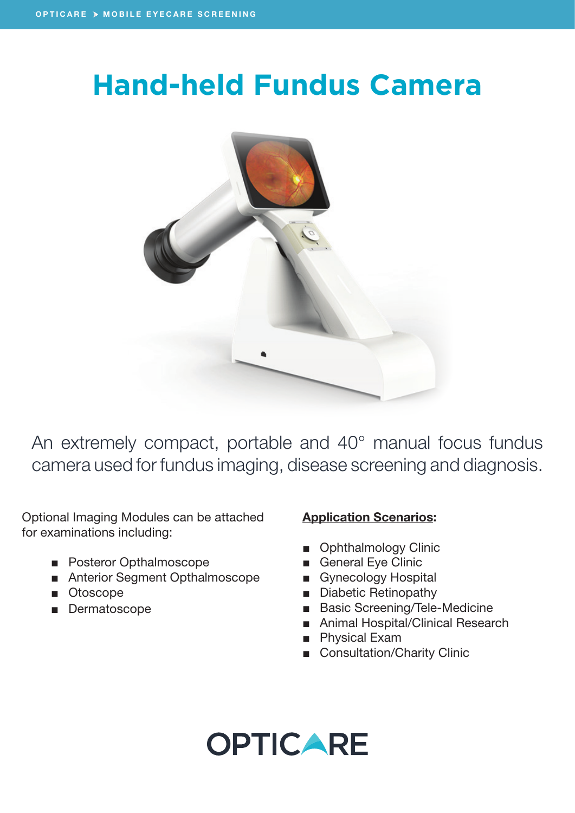## **Hand-held Fundus Camera**



An extremely compact, portable and 40° manual focus fundus camera used for fundus imaging, disease screening and diagnosis.

Optional Imaging Modules can be attached for examinations including:

- Posteror Opthalmoscope
- Anterior Segment Opthalmoscope
- Otoscope
- Dermatoscope

## Application Scenarios:

- Ophthalmology Clinic
- General Eye Clinic
- Gynecology Hospital
- Diabetic Retinopathy
- Basic Screening/Tele-Medicine
- Animal Hospital/Clinical Research
- Physical Exam
- Consultation/Charity Clinic

## **OPTICARE**